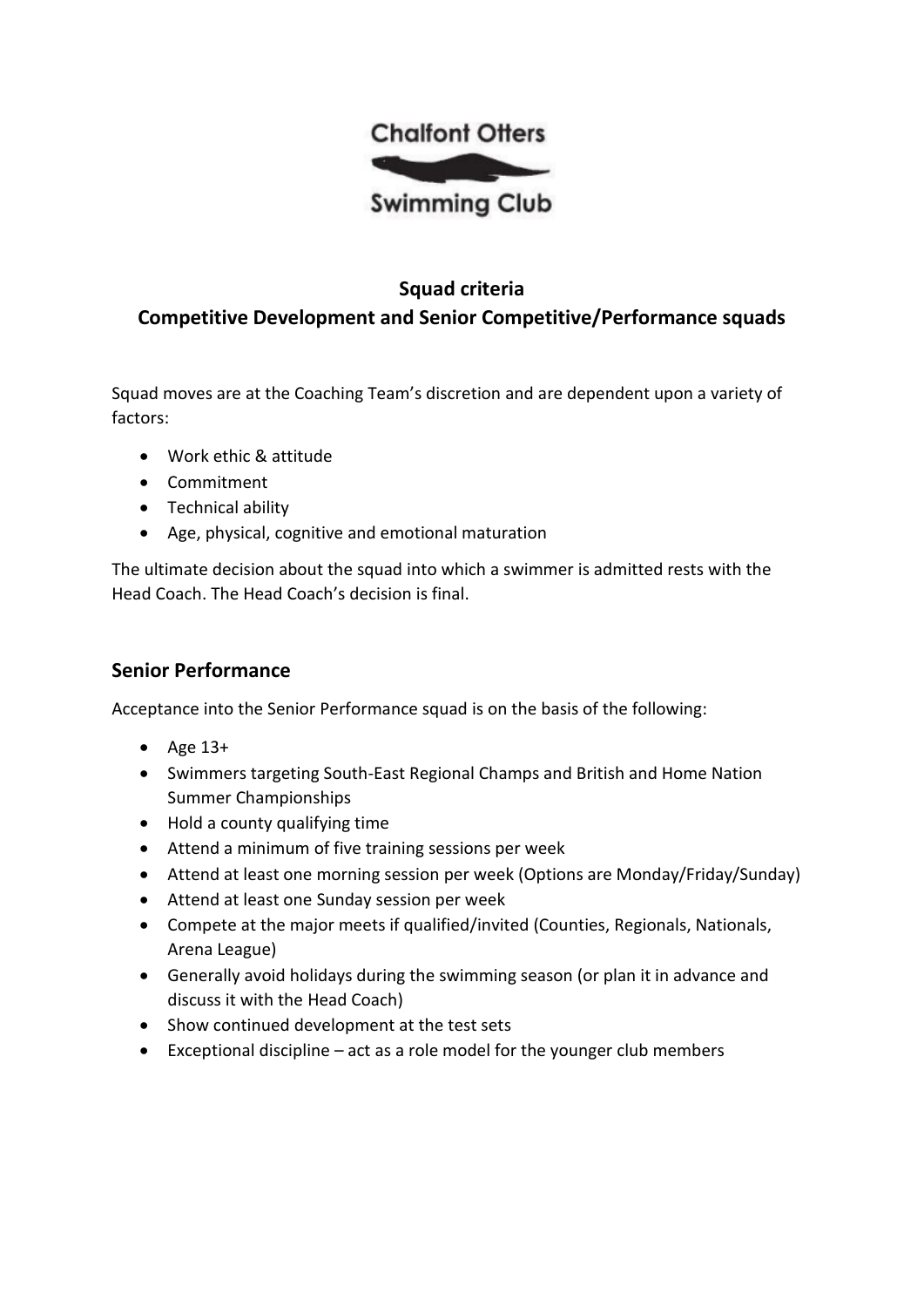

## **Squad criteria Competitive Development and Senior Competitive/Performance squads**

Squad moves are at the Coaching Team's discretion and are dependent upon a variety of factors:

- Work ethic & attitude
- Commitment
- Technical ability
- Age, physical, cognitive and emotional maturation

The ultimate decision about the squad into which a swimmer is admitted rests with the Head Coach. The Head Coach's decision is final.

### **Senior Performance**

Acceptance into the Senior Performance squad is on the basis of the following:

- Age 13+
- Swimmers targeting South-East Regional Champs and British and Home Nation Summer Championships
- Hold a county qualifying time
- Attend a minimum of five training sessions per week
- Attend at least one morning session per week (Options are Monday/Friday/Sunday)
- Attend at least one Sunday session per week
- Compete at the major meets if qualified/invited (Counties, Regionals, Nationals, Arena League)
- Generally avoid holidays during the swimming season (or plan it in advance and discuss it with the Head Coach)
- Show continued development at the test sets
- Exceptional discipline act as a role model for the younger club members